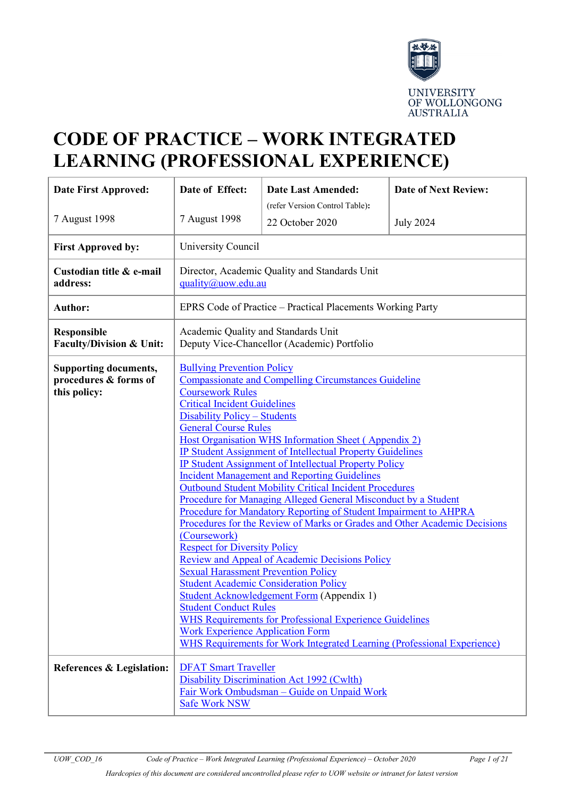

# **CODE OF PRACTICE – WORK INTEGRATED LEARNING (PROFESSIONAL EXPERIENCE)**

| Date First Approved:                                                  | Date of Effect:                                                                                                                                                                                                                                                                                                                                                                                                                                                                                                                                                                                                                                                                                                                                                                                                                                                                                                                                                                                                                                                                                                                                                           | <b>Date Last Amended:</b>                                  | <b>Date of Next Review:</b> |
|-----------------------------------------------------------------------|---------------------------------------------------------------------------------------------------------------------------------------------------------------------------------------------------------------------------------------------------------------------------------------------------------------------------------------------------------------------------------------------------------------------------------------------------------------------------------------------------------------------------------------------------------------------------------------------------------------------------------------------------------------------------------------------------------------------------------------------------------------------------------------------------------------------------------------------------------------------------------------------------------------------------------------------------------------------------------------------------------------------------------------------------------------------------------------------------------------------------------------------------------------------------|------------------------------------------------------------|-----------------------------|
|                                                                       |                                                                                                                                                                                                                                                                                                                                                                                                                                                                                                                                                                                                                                                                                                                                                                                                                                                                                                                                                                                                                                                                                                                                                                           | (refer Version Control Table):                             |                             |
| 7 August 1998                                                         | 7 August 1998                                                                                                                                                                                                                                                                                                                                                                                                                                                                                                                                                                                                                                                                                                                                                                                                                                                                                                                                                                                                                                                                                                                                                             | 22 October 2020                                            | <b>July 2024</b>            |
| <b>First Approved by:</b>                                             | University Council                                                                                                                                                                                                                                                                                                                                                                                                                                                                                                                                                                                                                                                                                                                                                                                                                                                                                                                                                                                                                                                                                                                                                        |                                                            |                             |
| Custodian title & e-mail<br>address:                                  | quality@uow.edu.au                                                                                                                                                                                                                                                                                                                                                                                                                                                                                                                                                                                                                                                                                                                                                                                                                                                                                                                                                                                                                                                                                                                                                        | Director, Academic Quality and Standards Unit              |                             |
| <b>Author:</b>                                                        |                                                                                                                                                                                                                                                                                                                                                                                                                                                                                                                                                                                                                                                                                                                                                                                                                                                                                                                                                                                                                                                                                                                                                                           | EPRS Code of Practice – Practical Placements Working Party |                             |
| <b>Responsible</b><br>Faculty/Division & Unit:                        | Academic Quality and Standards Unit<br>Deputy Vice-Chancellor (Academic) Portfolio                                                                                                                                                                                                                                                                                                                                                                                                                                                                                                                                                                                                                                                                                                                                                                                                                                                                                                                                                                                                                                                                                        |                                                            |                             |
| <b>Supporting documents,</b><br>procedures & forms of<br>this policy: | <b>Bullying Prevention Policy</b><br><b>Compassionate and Compelling Circumstances Guideline</b><br><b>Coursework Rules</b><br><b>Critical Incident Guidelines</b><br>Disability Policy - Students<br><b>General Course Rules</b><br>Host Organisation WHS Information Sheet (Appendix 2)<br><b>IP Student Assignment of Intellectual Property Guidelines</b><br><b>IP Student Assignment of Intellectual Property Policy</b><br><b>Incident Management and Reporting Guidelines</b><br><b>Outbound Student Mobility Critical Incident Procedures</b><br>Procedure for Managing Alleged General Misconduct by a Student<br>Procedure for Mandatory Reporting of Student Impairment to AHPRA<br>Procedures for the Review of Marks or Grades and Other Academic Decisions<br>(Coursework)<br><b>Respect for Diversity Policy</b><br>Review and Appeal of Academic Decisions Policy<br><b>Sexual Harassment Prevention Policy</b><br><b>Student Academic Consideration Policy</b><br>Student Acknowledgement Form (Appendix 1)<br><b>Student Conduct Rules</b><br><b>WHS Requirements for Professional Experience Guidelines</b><br><b>Work Experience Application Form</b> |                                                            |                             |
| <b>References &amp; Legislation:</b>                                  | <b>DFAT Smart Traveller</b><br>Disability Discrimination Act 1992 (Cwlth)<br>Fair Work Ombudsman - Guide on Unpaid Work<br><b>Safe Work NSW</b>                                                                                                                                                                                                                                                                                                                                                                                                                                                                                                                                                                                                                                                                                                                                                                                                                                                                                                                                                                                                                           |                                                            |                             |

*Hardcopies of this document are considered uncontrolled please refer to UOW website or intranet for latest version*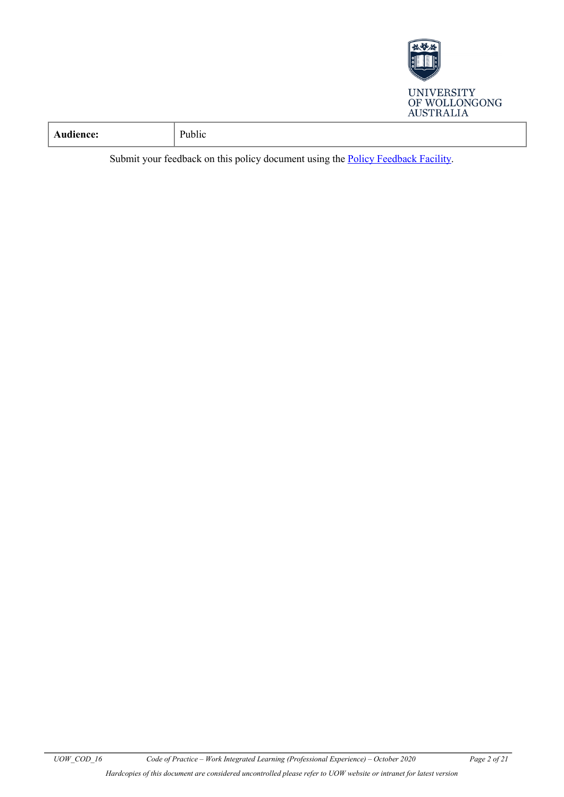

| - -<br>.<br>$-20$<br>ublic<br>тепс<br>$\cdot$<br>. |  |
|----------------------------------------------------|--|
|----------------------------------------------------|--|

Submit your feedback on this policy document using the [Policy Feedback Facility.](http://www.uow.edu.au/about/policy/feedback/index.html)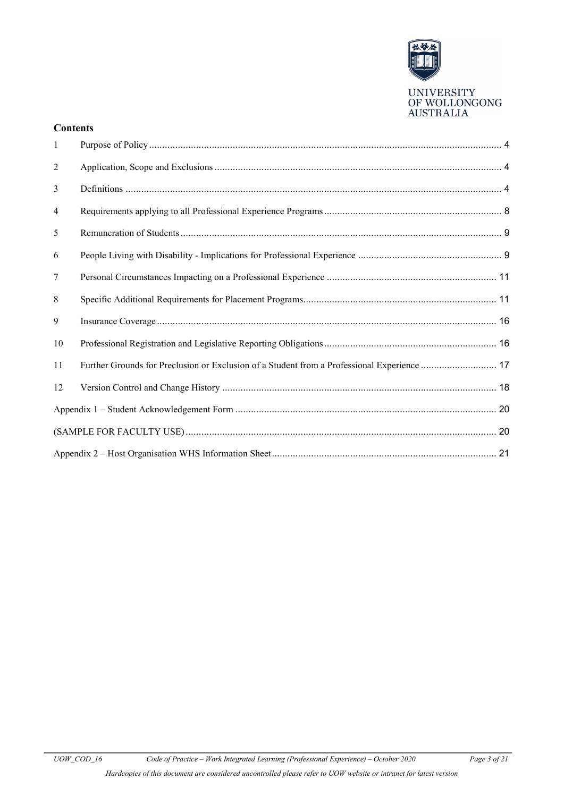

#### **Contents**

| $\mathbf{1}$ |                                                                                             |  |  |
|--------------|---------------------------------------------------------------------------------------------|--|--|
| 2            |                                                                                             |  |  |
| 3            |                                                                                             |  |  |
| 4            |                                                                                             |  |  |
| 5            |                                                                                             |  |  |
| 6            |                                                                                             |  |  |
| 7            |                                                                                             |  |  |
| 8            |                                                                                             |  |  |
| 9            |                                                                                             |  |  |
| 10           |                                                                                             |  |  |
| 11           | Further Grounds for Preclusion or Exclusion of a Student from a Professional Experience  17 |  |  |
| 12           |                                                                                             |  |  |
|              |                                                                                             |  |  |
|              |                                                                                             |  |  |
|              |                                                                                             |  |  |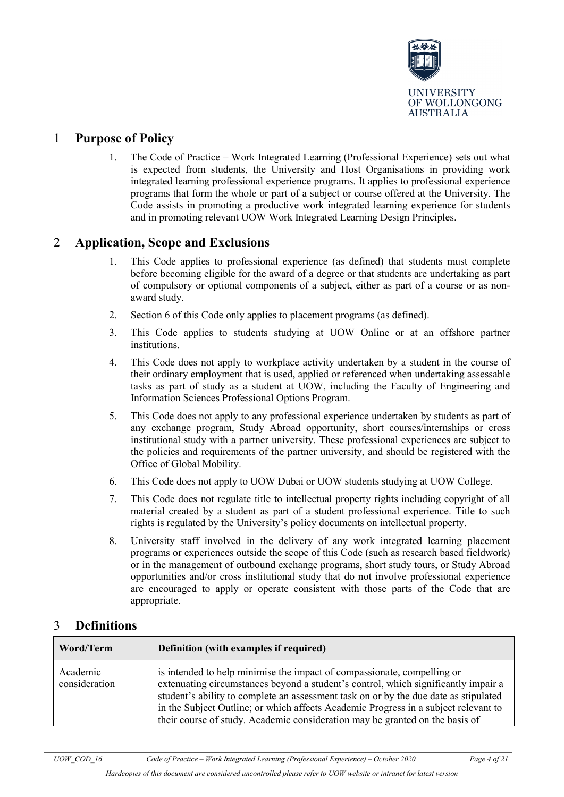

### <span id="page-3-0"></span>1 **Purpose of Policy**

1. The Code of Practice – Work Integrated Learning (Professional Experience) sets out what is expected from students, the University and Host Organisations in providing work integrated learning professional experience programs. It applies to professional experience programs that form the whole or part of a subject or course offered at the University. The Code assists in promoting a productive work integrated learning experience for students and in promoting relevant UOW Work Integrated Learning Design Principles.

### <span id="page-3-1"></span>2 **Application, Scope and Exclusions**

- 1. This Code applies to professional experience (as defined) that students must complete before becoming eligible for the award of a degree or that students are undertaking as part of compulsory or optional components of a subject, either as part of a course or as nonaward study.
- 2. Section 6 of this Code only applies to placement programs (as defined).
- 3. This Code applies to students studying at UOW Online or at an offshore partner institutions.
- 4. This Code does not apply to workplace activity undertaken by a student in the course of their ordinary employment that is used, applied or referenced when undertaking assessable tasks as part of study as a student at UOW, including the Faculty of Engineering and Information Sciences Professional Options Program.
- 5. This Code does not apply to any professional experience undertaken by students as part of any exchange program, Study Abroad opportunity, short courses/internships or cross institutional study with a partner university. These professional experiences are subject to the policies and requirements of the partner university, and should be registered with the Office of Global Mobility.
- 6. This Code does not apply to UOW Dubai or UOW students studying at UOW College.
- 7. This Code does not regulate title to intellectual property rights including copyright of all material created by a student as part of a student professional experience. Title to such rights is regulated by the University's policy documents on intellectual property.
- 8. University staff involved in the delivery of any work integrated learning placement programs or experiences outside the scope of this Code (such as research based fieldwork) or in the management of outbound exchange programs, short study tours, or Study Abroad opportunities and/or cross institutional study that do not involve professional experience are encouraged to apply or operate consistent with those parts of the Code that are appropriate.

## <span id="page-3-2"></span>3 **Definitions**

| Word/Term                 | Definition (with examples if required)                                                                                                                                                                                                                                                                                                                                                                                       |  |
|---------------------------|------------------------------------------------------------------------------------------------------------------------------------------------------------------------------------------------------------------------------------------------------------------------------------------------------------------------------------------------------------------------------------------------------------------------------|--|
| Academic<br>consideration | is intended to help minimise the impact of compassionate, compelling or<br>extenuating circumstances beyond a student's control, which significantly impair a<br>student's ability to complete an assessment task on or by the due date as stipulated<br>in the Subject Outline; or which affects Academic Progress in a subject relevant to<br>their course of study. Academic consideration may be granted on the basis of |  |

*Hardcopies of this document are considered uncontrolled please refer to UOW website or intranet for latest version*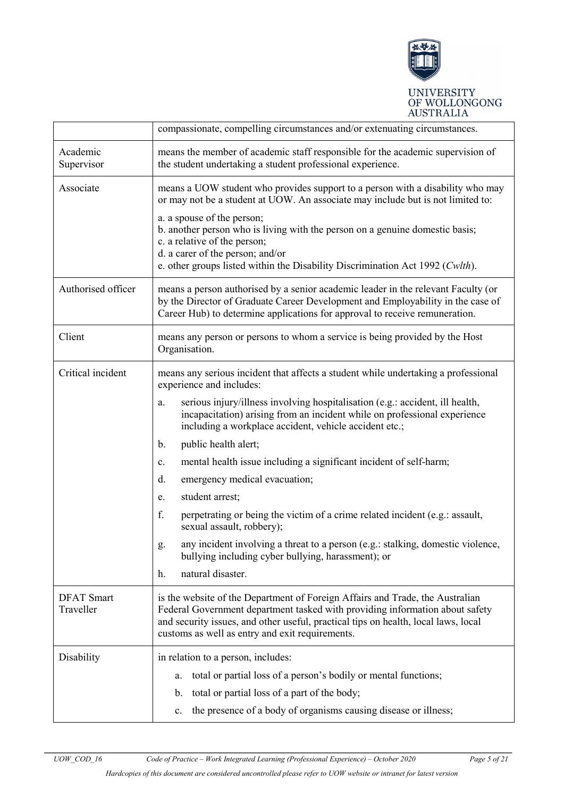

|                                | compassionate, compelling circumstances and/or extenuating circumstances.                                                                                                                                                                                                                                                                                                                                                            |  |  |
|--------------------------------|--------------------------------------------------------------------------------------------------------------------------------------------------------------------------------------------------------------------------------------------------------------------------------------------------------------------------------------------------------------------------------------------------------------------------------------|--|--|
| Academic<br>Supervisor         | means the member of academic staff responsible for the academic supervision of<br>the student undertaking a student professional experience.                                                                                                                                                                                                                                                                                         |  |  |
| Associate                      | means a UOW student who provides support to a person with a disability who may<br>or may not be a student at UOW. An associate may include but is not limited to:<br>a. a spouse of the person;<br>b. another person who is living with the person on a genuine domestic basis;<br>c. a relative of the person;<br>d. a carer of the person; and/or<br>e. other groups listed within the Disability Discrimination Act 1992 (Cwlth). |  |  |
| Authorised officer             | means a person authorised by a senior academic leader in the relevant Faculty (or<br>by the Director of Graduate Career Development and Employability in the case of<br>Career Hub) to determine applications for approval to receive remuneration.                                                                                                                                                                                  |  |  |
| Client                         | means any person or persons to whom a service is being provided by the Host<br>Organisation.                                                                                                                                                                                                                                                                                                                                         |  |  |
| Critical incident              | means any serious incident that affects a student while undertaking a professional<br>experience and includes:                                                                                                                                                                                                                                                                                                                       |  |  |
|                                | serious injury/illness involving hospitalisation (e.g.: accident, ill health,<br>a.<br>incapacitation) arising from an incident while on professional experience<br>including a workplace accident, vehicle accident etc.;                                                                                                                                                                                                           |  |  |
|                                | public health alert;<br>$\mathbf{b}$ .                                                                                                                                                                                                                                                                                                                                                                                               |  |  |
|                                | mental health issue including a significant incident of self-harm;<br>c.                                                                                                                                                                                                                                                                                                                                                             |  |  |
|                                | d.<br>emergency medical evacuation;                                                                                                                                                                                                                                                                                                                                                                                                  |  |  |
|                                | student arrest;<br>e.                                                                                                                                                                                                                                                                                                                                                                                                                |  |  |
|                                | f.<br>perpetrating or being the victim of a crime related incident (e.g.: assault,<br>sexual assault, robbery);                                                                                                                                                                                                                                                                                                                      |  |  |
|                                | any incident involving a threat to a person (e.g.: stalking, domestic violence,<br>g.<br>bullying including cyber bullying, harassment); or                                                                                                                                                                                                                                                                                          |  |  |
|                                | natural disaster.<br>h.                                                                                                                                                                                                                                                                                                                                                                                                              |  |  |
| <b>DFAT</b> Smart<br>Traveller | is the website of the Department of Foreign Affairs and Trade, the Australian<br>Federal Government department tasked with providing information about safety<br>and security issues, and other useful, practical tips on health, local laws, local<br>customs as well as entry and exit requirements.                                                                                                                               |  |  |
| Disability                     | in relation to a person, includes:                                                                                                                                                                                                                                                                                                                                                                                                   |  |  |
|                                | total or partial loss of a person's bodily or mental functions;<br>a.                                                                                                                                                                                                                                                                                                                                                                |  |  |
|                                | total or partial loss of a part of the body;<br>b.                                                                                                                                                                                                                                                                                                                                                                                   |  |  |
|                                | the presence of a body of organisms causing disease or illness;<br>c.                                                                                                                                                                                                                                                                                                                                                                |  |  |

*Hardcopies of this document are considered uncontrolled please refer to UOW website or intranet for latest version*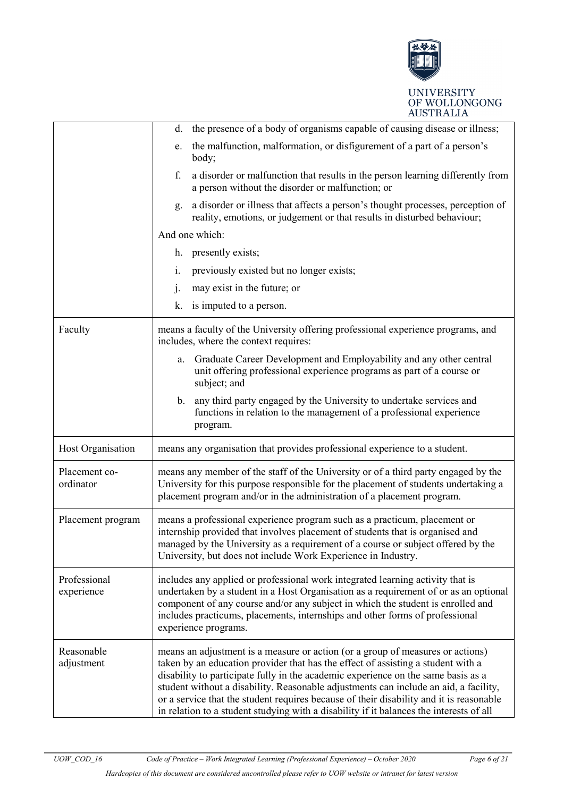

|                            | the presence of a body of organisms capable of causing disease or illness;<br>d.                                                                                                                                                                                                                                                                                                                                                                                                                                                      |  |
|----------------------------|---------------------------------------------------------------------------------------------------------------------------------------------------------------------------------------------------------------------------------------------------------------------------------------------------------------------------------------------------------------------------------------------------------------------------------------------------------------------------------------------------------------------------------------|--|
|                            | the malfunction, malformation, or disfigurement of a part of a person's<br>e.<br>body;                                                                                                                                                                                                                                                                                                                                                                                                                                                |  |
|                            | f.<br>a disorder or malfunction that results in the person learning differently from<br>a person without the disorder or malfunction; or                                                                                                                                                                                                                                                                                                                                                                                              |  |
|                            | a disorder or illness that affects a person's thought processes, perception of<br>g.<br>reality, emotions, or judgement or that results in disturbed behaviour;                                                                                                                                                                                                                                                                                                                                                                       |  |
|                            | And one which:                                                                                                                                                                                                                                                                                                                                                                                                                                                                                                                        |  |
|                            | h. presently exists;                                                                                                                                                                                                                                                                                                                                                                                                                                                                                                                  |  |
|                            | previously existed but no longer exists;<br>1.                                                                                                                                                                                                                                                                                                                                                                                                                                                                                        |  |
|                            | may exist in the future; or<br>$\mathbf{j}$ .                                                                                                                                                                                                                                                                                                                                                                                                                                                                                         |  |
|                            | is imputed to a person.<br>k.                                                                                                                                                                                                                                                                                                                                                                                                                                                                                                         |  |
| Faculty                    | means a faculty of the University offering professional experience programs, and<br>includes, where the context requires:                                                                                                                                                                                                                                                                                                                                                                                                             |  |
|                            | Graduate Career Development and Employability and any other central<br>a.<br>unit offering professional experience programs as part of a course or<br>subject; and                                                                                                                                                                                                                                                                                                                                                                    |  |
|                            | any third party engaged by the University to undertake services and<br>$\mathbf{b}$ .<br>functions in relation to the management of a professional experience<br>program.                                                                                                                                                                                                                                                                                                                                                             |  |
| Host Organisation          | means any organisation that provides professional experience to a student.                                                                                                                                                                                                                                                                                                                                                                                                                                                            |  |
| Placement co-<br>ordinator | means any member of the staff of the University or of a third party engaged by the<br>University for this purpose responsible for the placement of students undertaking a<br>placement program and/or in the administration of a placement program.                                                                                                                                                                                                                                                                                   |  |
| Placement program          | means a professional experience program such as a practicum, placement or<br>internship provided that involves placement of students that is organised and<br>managed by the University as a requirement of a course or subject offered by the<br>University, but does not include Work Experience in Industry.                                                                                                                                                                                                                       |  |
| Professional<br>experience | includes any applied or professional work integrated learning activity that is<br>undertaken by a student in a Host Organisation as a requirement of or as an optional<br>component of any course and/or any subject in which the student is enrolled and<br>includes practicums, placements, internships and other forms of professional<br>experience programs.                                                                                                                                                                     |  |
| Reasonable<br>adjustment   | means an adjustment is a measure or action (or a group of measures or actions)<br>taken by an education provider that has the effect of assisting a student with a<br>disability to participate fully in the academic experience on the same basis as a<br>student without a disability. Reasonable adjustments can include an aid, a facility,<br>or a service that the student requires because of their disability and it is reasonable<br>in relation to a student studying with a disability if it balances the interests of all |  |

*Hardcopies of this document are considered uncontrolled please refer to UOW website or intranet for latest version*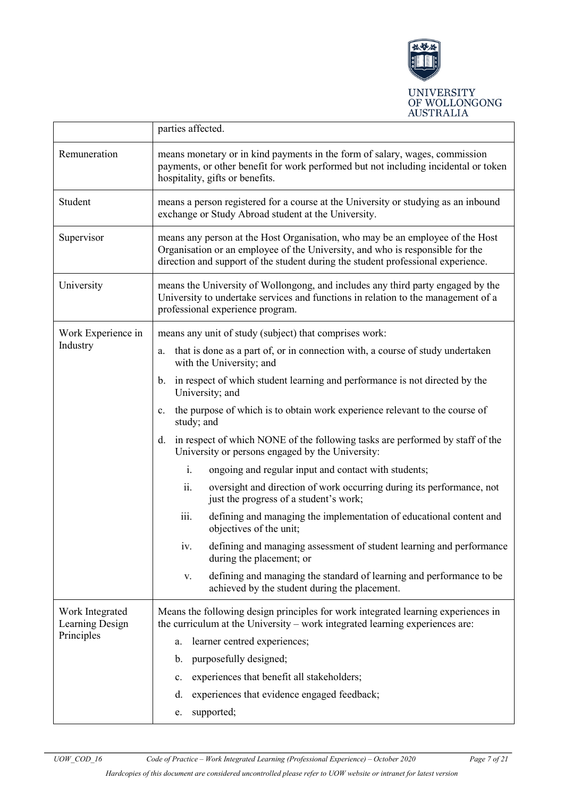

|                                    | parties affected.                                                                                                                                                                                                                                  |  |  |
|------------------------------------|----------------------------------------------------------------------------------------------------------------------------------------------------------------------------------------------------------------------------------------------------|--|--|
| Remuneration                       | means monetary or in kind payments in the form of salary, wages, commission<br>payments, or other benefit for work performed but not including incidental or token<br>hospitality, gifts or benefits.                                              |  |  |
| Student                            | means a person registered for a course at the University or studying as an inbound<br>exchange or Study Abroad student at the University.                                                                                                          |  |  |
| Supervisor                         | means any person at the Host Organisation, who may be an employee of the Host<br>Organisation or an employee of the University, and who is responsible for the<br>direction and support of the student during the student professional experience. |  |  |
| University                         | means the University of Wollongong, and includes any third party engaged by the<br>University to undertake services and functions in relation to the management of a<br>professional experience program.                                           |  |  |
| Work Experience in                 | means any unit of study (subject) that comprises work:                                                                                                                                                                                             |  |  |
| Industry                           | that is done as a part of, or in connection with, a course of study undertaken<br>a.<br>with the University; and                                                                                                                                   |  |  |
|                                    | in respect of which student learning and performance is not directed by the<br>$\mathbf{b}$ .<br>University; and                                                                                                                                   |  |  |
|                                    | the purpose of which is to obtain work experience relevant to the course of<br>c.<br>study; and                                                                                                                                                    |  |  |
|                                    | in respect of which NONE of the following tasks are performed by staff of the<br>d.<br>University or persons engaged by the University:                                                                                                            |  |  |
|                                    | i.<br>ongoing and regular input and contact with students;                                                                                                                                                                                         |  |  |
|                                    | ii.<br>oversight and direction of work occurring during its performance, not<br>just the progress of a student's work;                                                                                                                             |  |  |
|                                    | iii.<br>defining and managing the implementation of educational content and<br>objectives of the unit;                                                                                                                                             |  |  |
|                                    | defining and managing assessment of student learning and performance<br>1V.<br>during the placement; or                                                                                                                                            |  |  |
|                                    | defining and managing the standard of learning and performance to be<br>V.<br>achieved by the student during the placement.                                                                                                                        |  |  |
| Work Integrated<br>Learning Design | Means the following design principles for work integrated learning experiences in<br>the curriculum at the University – work integrated learning experiences are:                                                                                  |  |  |
| Principles                         | learner centred experiences;<br>a.                                                                                                                                                                                                                 |  |  |
|                                    | purposefully designed;<br>b.                                                                                                                                                                                                                       |  |  |
|                                    | experiences that benefit all stakeholders;<br>c.                                                                                                                                                                                                   |  |  |
|                                    | experiences that evidence engaged feedback;<br>d.                                                                                                                                                                                                  |  |  |
|                                    | supported;<br>e.                                                                                                                                                                                                                                   |  |  |

*UOW\_COD\_16 Code of Practice – Work Integrated Learning (Professional Experience) – October 2020 Page 7 of 21*

*Hardcopies of this document are considered uncontrolled please refer to UOW website or intranet for latest version*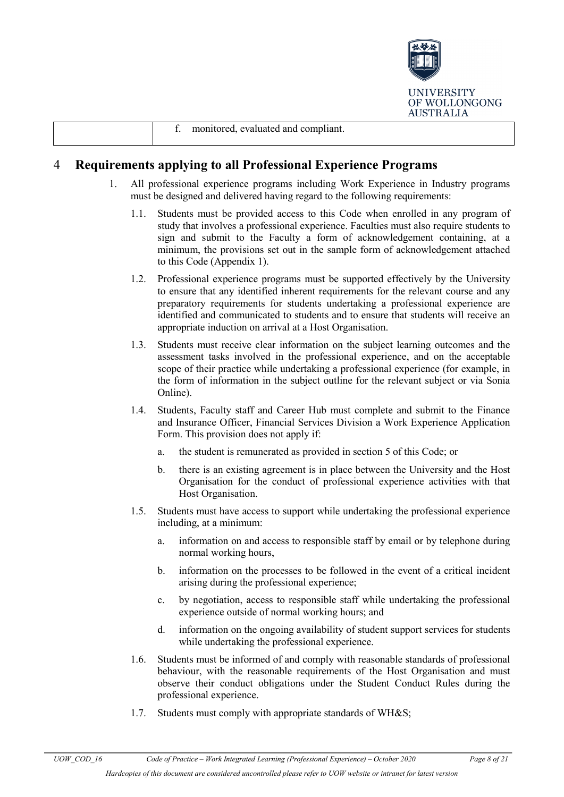

|  | evaluated<br>monitored.<br>compliant.<br>and<br>. . |  |
|--|-----------------------------------------------------|--|
|--|-----------------------------------------------------|--|

# <span id="page-7-0"></span>4 **Requirements applying to all Professional Experience Programs**

- 1. All professional experience programs including Work Experience in Industry programs must be designed and delivered having regard to the following requirements:
	- 1.1. Students must be provided access to this Code when enrolled in any program of study that involves a professional experience. Faculties must also require students to sign and submit to the Faculty a form of acknowledgement containing, at a minimum, the provisions set out in the sample form of acknowledgement attached to this Code (Appendix 1).
	- 1.2. Professional experience programs must be supported effectively by the University to ensure that any identified inherent requirements for the relevant course and any preparatory requirements for students undertaking a professional experience are identified and communicated to students and to ensure that students will receive an appropriate induction on arrival at a Host Organisation.
	- 1.3. Students must receive clear information on the subject learning outcomes and the assessment tasks involved in the professional experience, and on the acceptable scope of their practice while undertaking a professional experience (for example, in the form of information in the subject outline for the relevant subject or via Sonia Online).
	- 1.4. Students, Faculty staff and Career Hub must complete and submit to the Finance and Insurance Officer, Financial Services Division a Work Experience Application Form. This provision does not apply if:
		- a. the student is remunerated as provided in section 5 of this Code; or
		- b. there is an existing agreement is in place between the University and the Host Organisation for the conduct of professional experience activities with that Host Organisation.
	- 1.5. Students must have access to support while undertaking the professional experience including, at a minimum:
		- a. information on and access to responsible staff by email or by telephone during normal working hours,
		- b. information on the processes to be followed in the event of a critical incident arising during the professional experience;
		- c. by negotiation, access to responsible staff while undertaking the professional experience outside of normal working hours; and
		- d. information on the ongoing availability of student support services for students while undertaking the professional experience.
	- 1.6. Students must be informed of and comply with reasonable standards of professional behaviour, with the reasonable requirements of the Host Organisation and must observe their conduct obligations under the Student Conduct Rules during the professional experience.
	- 1.7. Students must comply with appropriate standards of WH&S;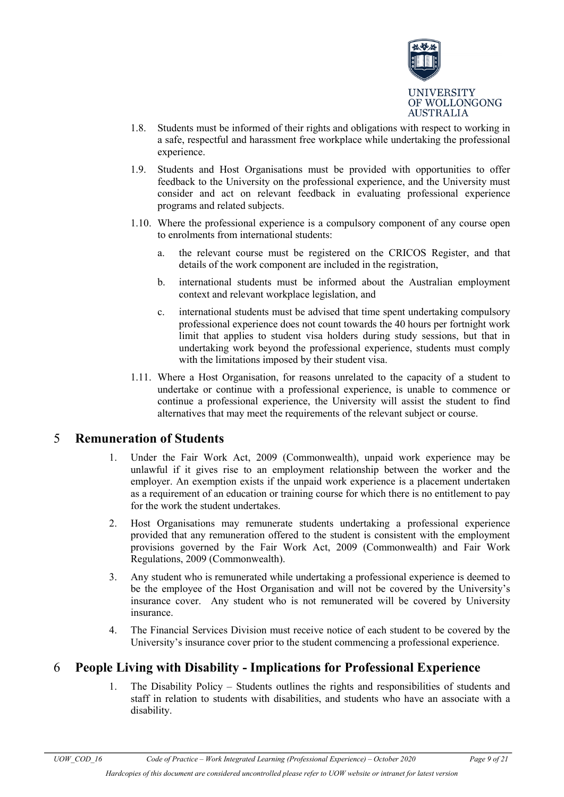

- 1.8. Students must be informed of their rights and obligations with respect to working in a safe, respectful and harassment free workplace while undertaking the professional experience.
- 1.9. Students and Host Organisations must be provided with opportunities to offer feedback to the University on the professional experience, and the University must consider and act on relevant feedback in evaluating professional experience programs and related subjects.
- 1.10. Where the professional experience is a compulsory component of any course open to enrolments from international students:
	- a. the relevant course must be registered on the CRICOS Register, and that details of the work component are included in the registration,
	- b. international students must be informed about the Australian employment context and relevant workplace legislation, and
	- c. international students must be advised that time spent undertaking compulsory professional experience does not count towards the 40 hours per fortnight work limit that applies to student visa holders during study sessions, but that in undertaking work beyond the professional experience, students must comply with the limitations imposed by their student visa.
- 1.11. Where a Host Organisation, for reasons unrelated to the capacity of a student to undertake or continue with a professional experience, is unable to commence or continue a professional experience, the University will assist the student to find alternatives that may meet the requirements of the relevant subject or course.

### <span id="page-8-0"></span>5 **Remuneration of Students**

- 1. Under the Fair Work Act, 2009 (Commonwealth), unpaid work experience may be unlawful if it gives rise to an employment relationship between the worker and the employer. An exemption exists if the unpaid work experience is a placement undertaken as a requirement of an education or training course for which there is no entitlement to pay for the work the student undertakes.
- 2. Host Organisations may remunerate students undertaking a professional experience provided that any remuneration offered to the student is consistent with the employment provisions governed by the Fair Work Act, 2009 (Commonwealth) and Fair Work Regulations, 2009 (Commonwealth).
- 3. Any student who is remunerated while undertaking a professional experience is deemed to be the employee of the Host Organisation and will not be covered by the University's insurance cover. Any student who is not remunerated will be covered by University insurance.
- 4. The Financial Services Division must receive notice of each student to be covered by the University's insurance cover prior to the student commencing a professional experience.

# <span id="page-8-1"></span>6 **People Living with Disability - Implications for Professional Experience**

1. The Disability Policy – Students outlines the rights and responsibilities of students and staff in relation to students with disabilities, and students who have an associate with a disability.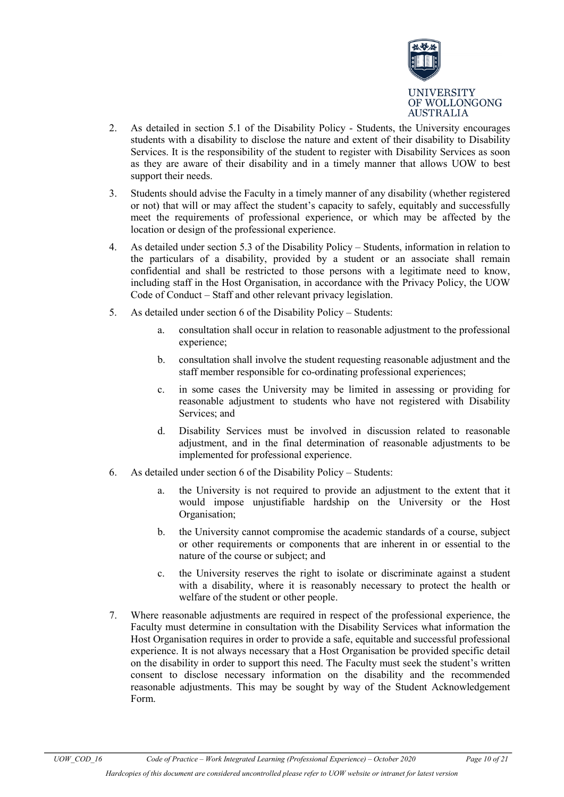

- 2. As detailed in section 5.1 of the Disability Policy Students, the University encourages students with a disability to disclose the nature and extent of their disability to Disability Services. It is the responsibility of the student to register with Disability Services as soon as they are aware of their disability and in a timely manner that allows UOW to best support their needs.
- 3. Students should advise the Faculty in a timely manner of any disability (whether registered or not) that will or may affect the student's capacity to safely, equitably and successfully meet the requirements of professional experience, or which may be affected by the location or design of the professional experience.
- 4. As detailed under section 5.3 of the Disability Policy Students, information in relation to the particulars of a disability, provided by a student or an associate shall remain confidential and shall be restricted to those persons with a legitimate need to know, including staff in the Host Organisation, in accordance with the Privacy Policy, the UOW Code of Conduct – Staff and other relevant privacy legislation.
- 5. As detailed under section 6 of the Disability Policy Students:
	- a. consultation shall occur in relation to reasonable adjustment to the professional experience;
	- b. consultation shall involve the student requesting reasonable adjustment and the staff member responsible for co-ordinating professional experiences;
	- c. in some cases the University may be limited in assessing or providing for reasonable adjustment to students who have not registered with Disability Services; and
	- d. Disability Services must be involved in discussion related to reasonable adjustment, and in the final determination of reasonable adjustments to be implemented for professional experience.
- 6. As detailed under section 6 of the Disability Policy Students:
	- a. the University is not required to provide an adjustment to the extent that it would impose unjustifiable hardship on the University or the Host Organisation;
	- b. the University cannot compromise the academic standards of a course, subject or other requirements or components that are inherent in or essential to the nature of the course or subject; and
	- c. the University reserves the right to isolate or discriminate against a student with a disability, where it is reasonably necessary to protect the health or welfare of the student or other people.
- 7. Where reasonable adjustments are required in respect of the professional experience, the Faculty must determine in consultation with the Disability Services what information the Host Organisation requires in order to provide a safe, equitable and successful professional experience. It is not always necessary that a Host Organisation be provided specific detail on the disability in order to support this need. The Faculty must seek the student's written consent to disclose necessary information on the disability and the recommended reasonable adjustments. This may be sought by way of the Student Acknowledgement Form.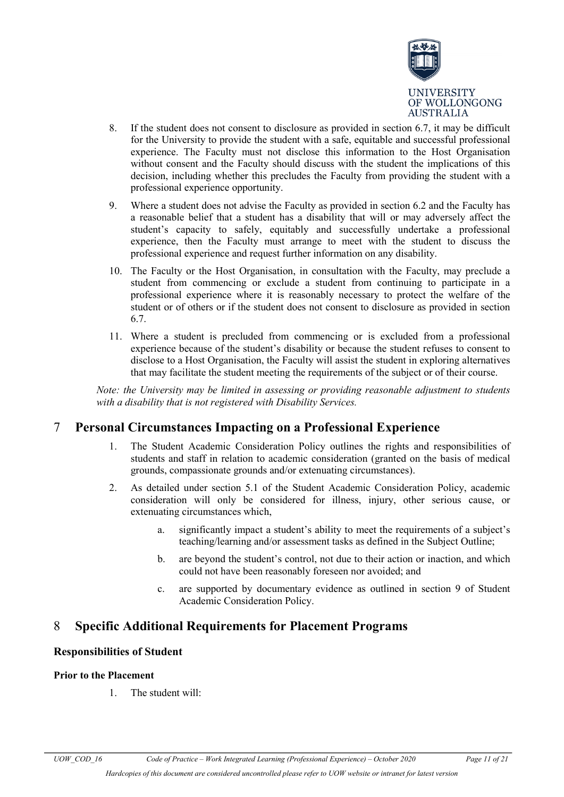

- 8. If the student does not consent to disclosure as provided in section 6.7, it may be difficult for the University to provide the student with a safe, equitable and successful professional experience. The Faculty must not disclose this information to the Host Organisation without consent and the Faculty should discuss with the student the implications of this decision, including whether this precludes the Faculty from providing the student with a professional experience opportunity.
- 9. Where a student does not advise the Faculty as provided in section 6.2 and the Faculty has a reasonable belief that a student has a disability that will or may adversely affect the student's capacity to safely, equitably and successfully undertake a professional experience, then the Faculty must arrange to meet with the student to discuss the professional experience and request further information on any disability.
- 10. The Faculty or the Host Organisation, in consultation with the Faculty, may preclude a student from commencing or exclude a student from continuing to participate in a professional experience where it is reasonably necessary to protect the welfare of the student or of others or if the student does not consent to disclosure as provided in section 6.7.
- 11. Where a student is precluded from commencing or is excluded from a professional experience because of the student's disability or because the student refuses to consent to disclose to a Host Organisation, the Faculty will assist the student in exploring alternatives that may facilitate the student meeting the requirements of the subject or of their course.

*Note: the University may be limited in assessing or providing reasonable adjustment to students with a disability that is not registered with Disability Services.*

### <span id="page-10-0"></span>7 **Personal Circumstances Impacting on a Professional Experience**

- 1. The Student Academic Consideration Policy outlines the rights and responsibilities of students and staff in relation to academic consideration (granted on the basis of medical grounds, compassionate grounds and/or extenuating circumstances).
- 2. As detailed under section 5.1 of the Student Academic Consideration Policy, academic consideration will only be considered for illness, injury, other serious cause, or extenuating circumstances which,
	- a. significantly impact a student's ability to meet the requirements of a subject's teaching/learning and/or assessment tasks as defined in the Subject Outline;
	- b. are beyond the student's control, not due to their action or inaction, and which could not have been reasonably foreseen nor avoided; and
	- c. are supported by documentary evidence as outlined in section 9 of Student Academic Consideration Policy.

## <span id="page-10-1"></span>8 **Specific Additional Requirements for Placement Programs**

### **Responsibilities of Student**

#### **Prior to the Placement**

1. The student will: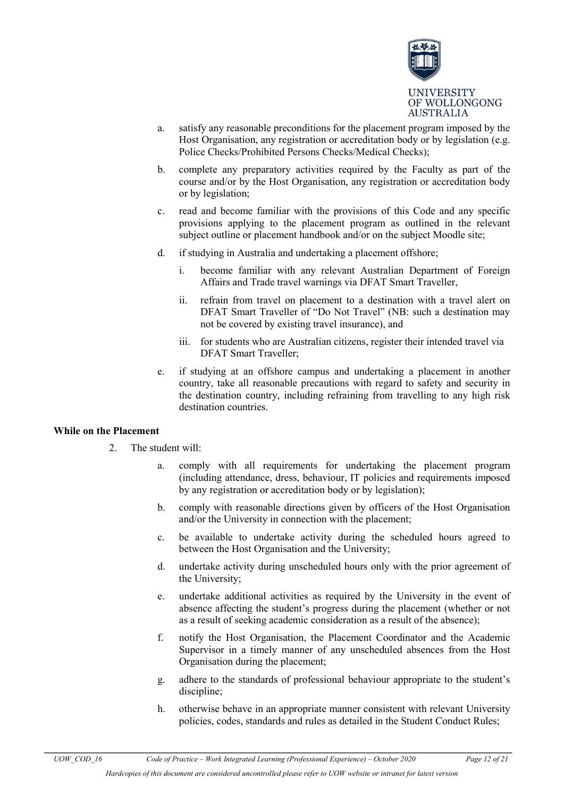

- a. satisfy any reasonable preconditions for the placement program imposed by the Host Organisation, any registration or accreditation body or by legislation (e.g. Police Checks/Prohibited Persons Checks/Medical Checks);
- b. complete any preparatory activities required by the Faculty as part of the course and/or by the Host Organisation, any registration or accreditation body or by legislation;
- c. read and become familiar with the provisions of this Code and any specific provisions applying to the placement program as outlined in the relevant subject outline or placement handbook and/or on the subject Moodle site;
- d. if studying in Australia and undertaking a placement offshore;
	- i. become familiar with any relevant Australian Department of Foreign Affairs and Trade travel warnings via DFAT Smart Traveller,
	- ii. refrain from travel on placement to a destination with a travel alert on DFAT Smart Traveller of "Do Not Travel" (NB: such a destination may not be covered by existing travel insurance), and
	- iii. for students who are Australian citizens, register their intended travel via DFAT Smart Traveller;
- e. if studying at an offshore campus and undertaking a placement in another country, take all reasonable precautions with regard to safety and security in the destination country, including refraining from travelling to any high risk destination countries.

#### **While on the Placement**

- 2. The student will:
	- a. comply with all requirements for undertaking the placement program (including attendance, dress, behaviour, IT policies and requirements imposed by any registration or accreditation body or by legislation);
	- b. comply with reasonable directions given by officers of the Host Organisation and/or the University in connection with the placement;
	- c. be available to undertake activity during the scheduled hours agreed to between the Host Organisation and the University;
	- d. undertake activity during unscheduled hours only with the prior agreement of the University;
	- e. undertake additional activities as required by the University in the event of absence affecting the student's progress during the placement (whether or not as a result of seeking academic consideration as a result of the absence);
	- f. notify the Host Organisation, the Placement Coordinator and the Academic Supervisor in a timely manner of any unscheduled absences from the Host Organisation during the placement;
	- g. adhere to the standards of professional behaviour appropriate to the student's discipline;
	- h. otherwise behave in an appropriate manner consistent with relevant University policies, codes, standards and rules as detailed in the Student Conduct Rules;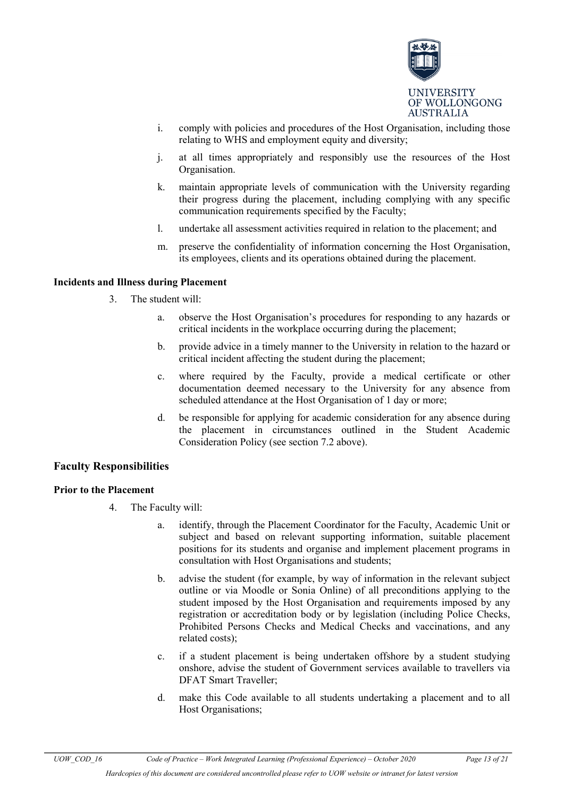

- i. comply with policies and procedures of the Host Organisation, including those relating to WHS and employment equity and diversity;
- j. at all times appropriately and responsibly use the resources of the Host Organisation.
- k. maintain appropriate levels of communication with the University regarding their progress during the placement, including complying with any specific communication requirements specified by the Faculty;
- l. undertake all assessment activities required in relation to the placement; and
- m. preserve the confidentiality of information concerning the Host Organisation, its employees, clients and its operations obtained during the placement.

#### **Incidents and Illness during Placement**

- 3. The student will:
	- a. observe the Host Organisation's procedures for responding to any hazards or critical incidents in the workplace occurring during the placement;
	- b. provide advice in a timely manner to the University in relation to the hazard or critical incident affecting the student during the placement;
	- c. where required by the Faculty, provide a medical certificate or other documentation deemed necessary to the University for any absence from scheduled attendance at the Host Organisation of 1 day or more;
	- d. be responsible for applying for academic consideration for any absence during the placement in circumstances outlined in the Student Academic Consideration Policy (see section 7.2 above).

#### **Faculty Responsibilities**

#### **Prior to the Placement**

- 4. The Faculty will:
	- a. identify, through the Placement Coordinator for the Faculty, Academic Unit or subject and based on relevant supporting information, suitable placement positions for its students and organise and implement placement programs in consultation with Host Organisations and students;
	- b. advise the student (for example, by way of information in the relevant subject outline or via Moodle or Sonia Online) of all preconditions applying to the student imposed by the Host Organisation and requirements imposed by any registration or accreditation body or by legislation (including Police Checks, Prohibited Persons Checks and Medical Checks and vaccinations, and any related costs);
	- c. if a student placement is being undertaken offshore by a student studying onshore, advise the student of Government services available to travellers via DFAT Smart Traveller;
	- d. make this Code available to all students undertaking a placement and to all Host Organisations;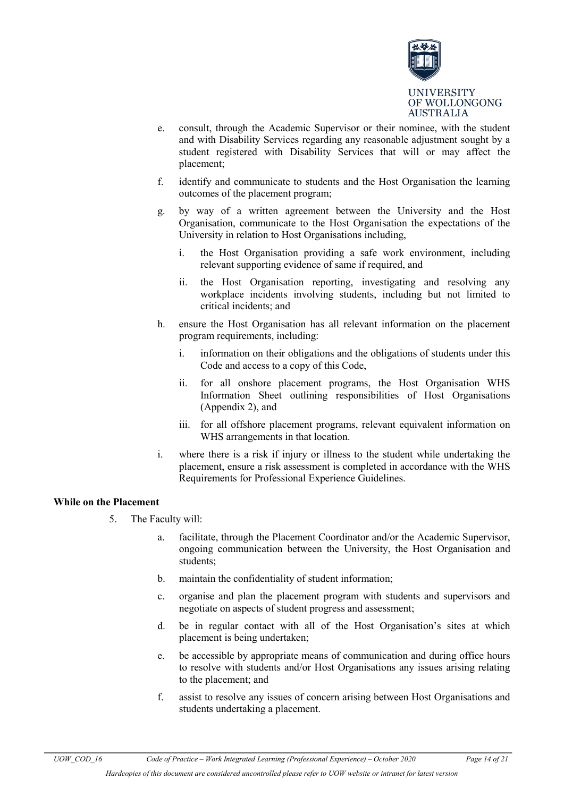

- e. consult, through the Academic Supervisor or their nominee, with the student and with Disability Services regarding any reasonable adjustment sought by a student registered with Disability Services that will or may affect the placement;
- f. identify and communicate to students and the Host Organisation the learning outcomes of the placement program;
- g. by way of a written agreement between the University and the Host Organisation, communicate to the Host Organisation the expectations of the University in relation to Host Organisations including,
	- i. the Host Organisation providing a safe work environment, including relevant supporting evidence of same if required, and
	- ii. the Host Organisation reporting, investigating and resolving any workplace incidents involving students, including but not limited to critical incidents; and
- h. ensure the Host Organisation has all relevant information on the placement program requirements, including:
	- i. information on their obligations and the obligations of students under this Code and access to a copy of this Code,
	- ii. for all onshore placement programs, the Host Organisation WHS Information Sheet outlining responsibilities of Host Organisations (Appendix 2), and
	- iii. for all offshore placement programs, relevant equivalent information on WHS arrangements in that location.
- i. where there is a risk if injury or illness to the student while undertaking the placement, ensure a risk assessment is completed in accordance with the WHS Requirements for Professional Experience Guidelines.

#### **While on the Placement**

- 5. The Faculty will:
	- a. facilitate, through the Placement Coordinator and/or the Academic Supervisor, ongoing communication between the University, the Host Organisation and students;
	- b. maintain the confidentiality of student information;
	- c. organise and plan the placement program with students and supervisors and negotiate on aspects of student progress and assessment;
	- d. be in regular contact with all of the Host Organisation's sites at which placement is being undertaken;
	- e. be accessible by appropriate means of communication and during office hours to resolve with students and/or Host Organisations any issues arising relating to the placement; and
	- f. assist to resolve any issues of concern arising between Host Organisations and students undertaking a placement.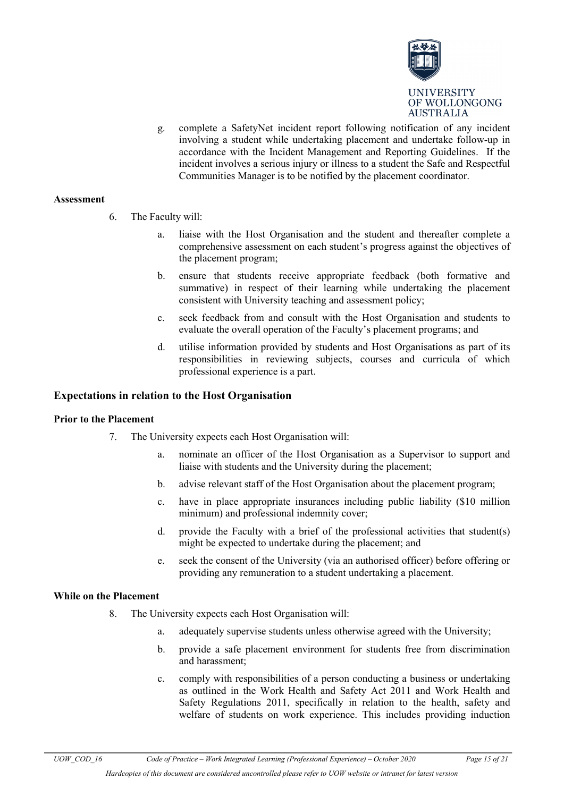

g. complete a SafetyNet incident report following notification of any incident involving a student while undertaking placement and undertake follow-up in accordance with the Incident Management and Reporting Guidelines. If the incident involves a serious injury or illness to a student the Safe and Respectful Communities Manager is to be notified by the placement coordinator.

#### **Assessment**

- 6. The Faculty will:
	- a. liaise with the Host Organisation and the student and thereafter complete a comprehensive assessment on each student's progress against the objectives of the placement program;
	- b. ensure that students receive appropriate feedback (both formative and summative) in respect of their learning while undertaking the placement consistent with University teaching and assessment policy;
	- c. seek feedback from and consult with the Host Organisation and students to evaluate the overall operation of the Faculty's placement programs; and
	- d. utilise information provided by students and Host Organisations as part of its responsibilities in reviewing subjects, courses and curricula of which professional experience is a part.

#### **Expectations in relation to the Host Organisation**

#### **Prior to the Placement**

- 7. The University expects each Host Organisation will:
	- a. nominate an officer of the Host Organisation as a Supervisor to support and liaise with students and the University during the placement;
	- b. advise relevant staff of the Host Organisation about the placement program;
	- c. have in place appropriate insurances including public liability (\$10 million minimum) and professional indemnity cover;
	- d. provide the Faculty with a brief of the professional activities that student(s) might be expected to undertake during the placement; and
	- e. seek the consent of the University (via an authorised officer) before offering or providing any remuneration to a student undertaking a placement.

#### **While on the Placement**

- 8. The University expects each Host Organisation will:
	- a. adequately supervise students unless otherwise agreed with the University;
	- b. provide a safe placement environment for students free from discrimination and harassment;
	- c. comply with responsibilities of a person conducting a business or undertaking as outlined in the Work Health and Safety Act 2011 and Work Health and Safety Regulations 2011, specifically in relation to the health, safety and welfare of students on work experience. This includes providing induction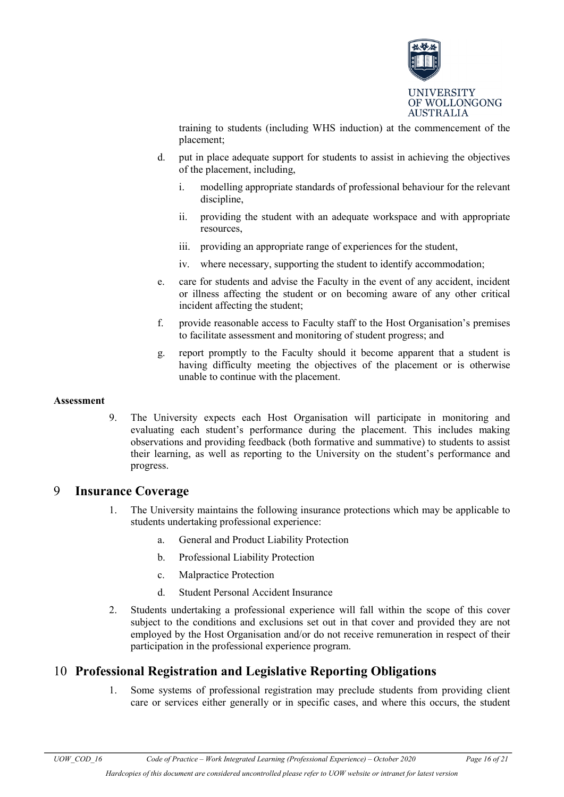

training to students (including WHS induction) at the commencement of the placement;

- d. put in place adequate support for students to assist in achieving the objectives of the placement, including,
	- i. modelling appropriate standards of professional behaviour for the relevant discipline,
	- ii. providing the student with an adequate workspace and with appropriate resources,
	- iii. providing an appropriate range of experiences for the student,
	- iv. where necessary, supporting the student to identify accommodation;
- e. care for students and advise the Faculty in the event of any accident, incident or illness affecting the student or on becoming aware of any other critical incident affecting the student;
- f. provide reasonable access to Faculty staff to the Host Organisation's premises to facilitate assessment and monitoring of student progress; and
- g. report promptly to the Faculty should it become apparent that a student is having difficulty meeting the objectives of the placement or is otherwise unable to continue with the placement.

#### **Assessment**

9. The University expects each Host Organisation will participate in monitoring and evaluating each student's performance during the placement. This includes making observations and providing feedback (both formative and summative) to students to assist their learning, as well as reporting to the University on the student's performance and progress.

### <span id="page-15-0"></span>9 **Insurance Coverage**

- 1. The University maintains the following insurance protections which may be applicable to students undertaking professional experience:
	- a. General and Product Liability Protection
	- b. Professional Liability Protection
	- c. Malpractice Protection
	- d. Student Personal Accident Insurance
- 2. Students undertaking a professional experience will fall within the scope of this cover subject to the conditions and exclusions set out in that cover and provided they are not employed by the Host Organisation and/or do not receive remuneration in respect of their participation in the professional experience program.

## <span id="page-15-1"></span>10 **Professional Registration and Legislative Reporting Obligations**

1. Some systems of professional registration may preclude students from providing client care or services either generally or in specific cases, and where this occurs, the student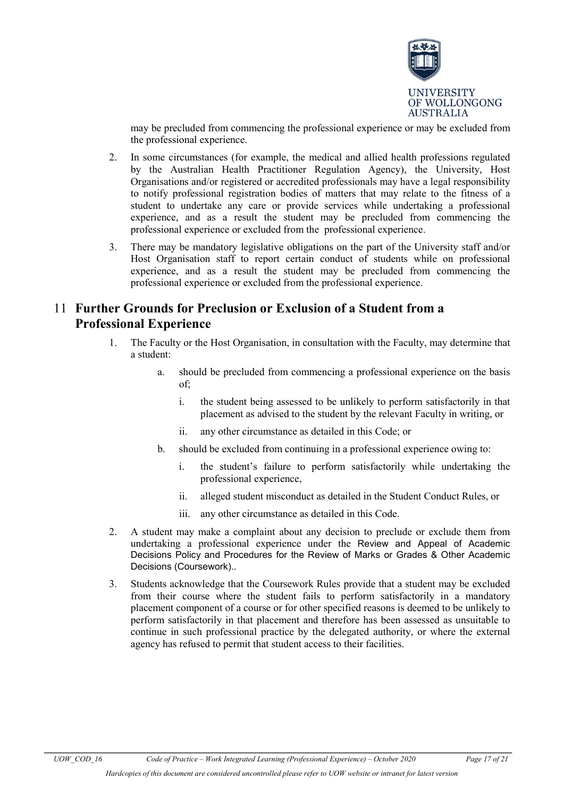

may be precluded from commencing the professional experience or may be excluded from the professional experience.

- 2. In some circumstances (for example, the medical and allied health professions regulated by the Australian Health Practitioner Regulation Agency), the University, Host Organisations and/or registered or accredited professionals may have a legal responsibility to notify professional registration bodies of matters that may relate to the fitness of a student to undertake any care or provide services while undertaking a professional experience, and as a result the student may be precluded from commencing the professional experience or excluded from the professional experience.
- 3. There may be mandatory legislative obligations on the part of the University staff and/or Host Organisation staff to report certain conduct of students while on professional experience, and as a result the student may be precluded from commencing the professional experience or excluded from the professional experience.

## <span id="page-16-0"></span>11 **Further Grounds for Preclusion or Exclusion of a Student from a Professional Experience**

- 1. The Faculty or the Host Organisation, in consultation with the Faculty, may determine that a student:
	- a. should be precluded from commencing a professional experience on the basis of;
		- i. the student being assessed to be unlikely to perform satisfactorily in that placement as advised to the student by the relevant Faculty in writing, or
		- ii. any other circumstance as detailed in this Code; or
	- b. should be excluded from continuing in a professional experience owing to:
		- i. the student's failure to perform satisfactorily while undertaking the professional experience,
		- ii. alleged student misconduct as detailed in the Student Conduct Rules, or
		- iii. any other circumstance as detailed in this Code.
- 2. A student may make a complaint about any decision to preclude or exclude them from undertaking a professional experience under the Review and Appeal of Academic Decisions Policy and Procedures for the Review of Marks or Grades & Other Academic Decisions (Coursework)..
- 3. Students acknowledge that the Coursework Rules provide that a student may be excluded from their course where the student fails to perform satisfactorily in a mandatory placement component of a course or for other specified reasons is deemed to be unlikely to perform satisfactorily in that placement and therefore has been assessed as unsuitable to continue in such professional practice by the delegated authority, or where the external agency has refused to permit that student access to their facilities.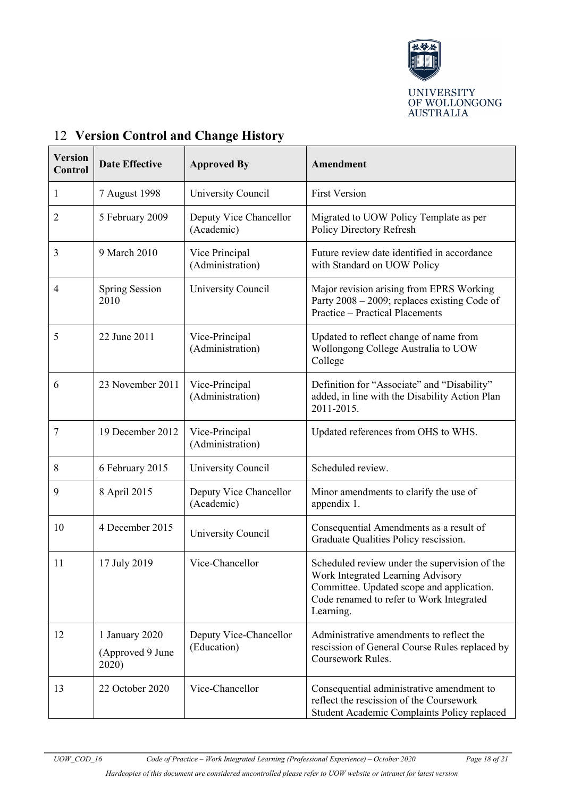

| <b>Version</b><br>Control | <b>Date Effective</b>                       | <b>Approved By</b>                    | Amendment                                                                                                                                                                                |
|---------------------------|---------------------------------------------|---------------------------------------|------------------------------------------------------------------------------------------------------------------------------------------------------------------------------------------|
| $\mathbf{1}$              | 7 August 1998                               | University Council                    | <b>First Version</b>                                                                                                                                                                     |
| $\overline{2}$            | 5 February 2009                             | Deputy Vice Chancellor<br>(Academic)  | Migrated to UOW Policy Template as per<br>Policy Directory Refresh                                                                                                                       |
| 3                         | 9 March 2010                                | Vice Principal<br>(Administration)    | Future review date identified in accordance<br>with Standard on UOW Policy                                                                                                               |
| 4                         | <b>Spring Session</b><br>2010               | University Council                    | Major revision arising from EPRS Working<br>Party 2008 - 2009; replaces existing Code of<br><b>Practice - Practical Placements</b>                                                       |
| 5                         | 22 June 2011                                | Vice-Principal<br>(Administration)    | Updated to reflect change of name from<br>Wollongong College Australia to UOW<br>College                                                                                                 |
| 6                         | 23 November 2011                            | Vice-Principal<br>(Administration)    | Definition for "Associate" and "Disability"<br>added, in line with the Disability Action Plan<br>2011-2015.                                                                              |
| 7                         | 19 December 2012                            | Vice-Principal<br>(Administration)    | Updated references from OHS to WHS.                                                                                                                                                      |
| 8                         | 6 February 2015                             | University Council                    | Scheduled review.                                                                                                                                                                        |
| 9                         | 8 April 2015                                | Deputy Vice Chancellor<br>(Academic)  | Minor amendments to clarify the use of<br>appendix 1.                                                                                                                                    |
| 10                        | 4 December 2015                             | University Council                    | Consequential Amendments as a result of<br>Graduate Qualities Policy rescission.                                                                                                         |
| 11                        | 17 July 2019                                | Vice-Chancellor                       | Scheduled review under the supervision of the<br>Work Integrated Learning Advisory<br>Committee. Updated scope and application.<br>Code renamed to refer to Work Integrated<br>Learning. |
| 12                        | 1 January 2020<br>(Approved 9 June<br>2020) | Deputy Vice-Chancellor<br>(Education) | Administrative amendments to reflect the<br>rescission of General Course Rules replaced by<br>Coursework Rules.                                                                          |
| 13                        | 22 October 2020                             | Vice-Chancellor                       | Consequential administrative amendment to<br>reflect the rescission of the Coursework<br>Student Academic Complaints Policy replaced                                                     |

# <span id="page-17-1"></span>12 **Version Control and Change History**

<span id="page-17-0"></span>*Hardcopies of this document are considered uncontrolled please refer to UOW website or intranet for latest version*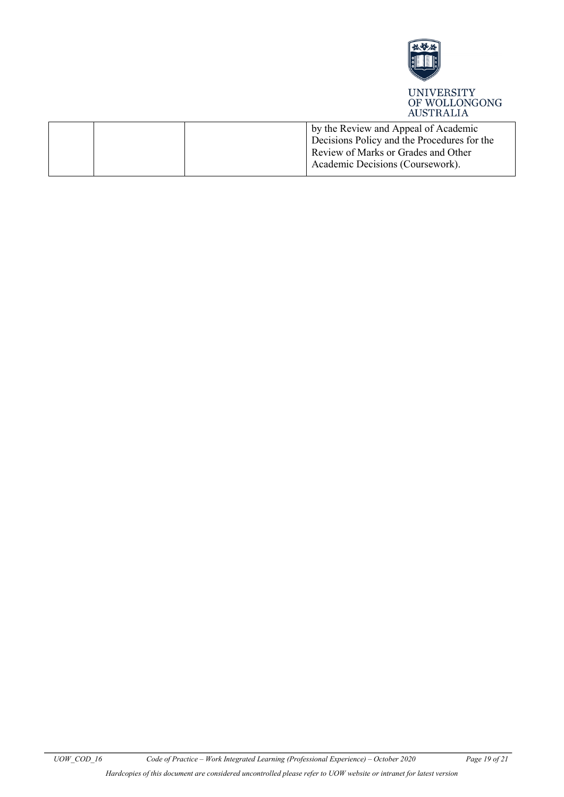

|  | by the Review and Appeal of Academic<br>Decisions Policy and the Procedures for the<br>Review of Marks or Grades and Other |
|--|----------------------------------------------------------------------------------------------------------------------------|
|  | Academic Decisions (Coursework).                                                                                           |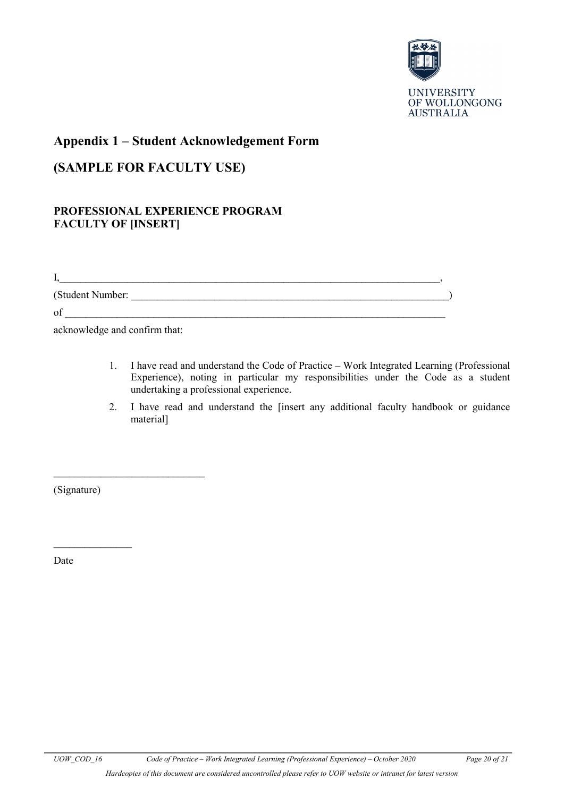

### <span id="page-19-0"></span>**Appendix 1 – Student Acknowledgement Form**

# <span id="page-19-1"></span>**(SAMPLE FOR FACULTY USE)**

### **PROFESSIONAL EXPERIENCE PROGRAM FACULTY OF [INSERT]**

I,\_\_\_\_\_\_\_\_\_\_\_\_\_\_\_\_\_\_\_\_\_\_\_\_\_\_\_\_\_\_\_\_\_\_\_\_\_\_\_\_\_\_\_\_\_\_\_\_\_\_\_\_\_\_\_\_\_\_\_\_\_\_\_\_\_\_\_\_\_\_\_\_\_,

(Student Number: \_\_\_\_\_\_\_\_\_\_\_\_\_\_\_\_\_\_\_\_\_\_\_\_\_\_\_\_\_\_\_\_\_\_\_\_\_\_\_\_\_\_\_\_\_\_\_\_\_\_\_\_\_\_\_\_\_\_\_\_\_)

 $of$   $\_$ 

acknowledge and confirm that:

 $\overline{\phantom{a}}$  , where  $\overline{\phantom{a}}$  , where  $\overline{\phantom{a}}$  , where  $\overline{\phantom{a}}$ 

- 1. I have read and understand the Code of Practice Work Integrated Learning (Professional Experience), noting in particular my responsibilities under the Code as a student undertaking a professional experience.
- 2. I have read and understand the [insert any additional faculty handbook or guidance material]

(Signature)

 $\frac{1}{2}$ 

Date